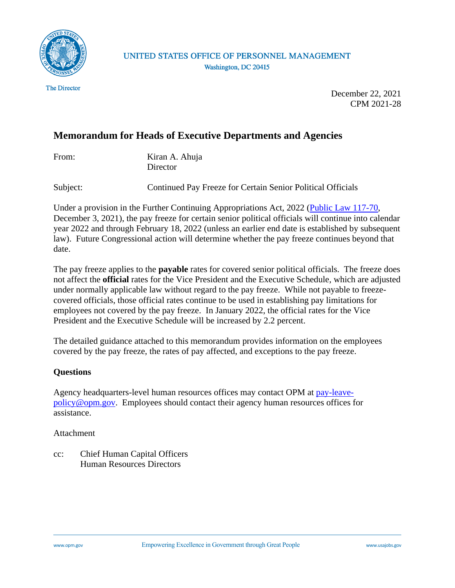

#### UNITED STATES OFFICE OF PERSONNEL MANAGEMENT Washington, DC 20415

**The Director** 

December 22, 2021 CPM 2021-28

# **Memorandum for Heads of Executive Departments and Agencies**

| From: | Kiran A. Ahuja |
|-------|----------------|
|       | Director       |

Subject: Continued Pay Freeze for Certain Senior Political Officials

Under a provision in the Further Continuing Appropriations Act, 2022 [\(Public Law 117-70,](https://www.congress.gov/117/plaws/publ70/PLAW-117publ70.pdf) December 3, 2021), the pay freeze for certain senior political officials will continue into calendar year 2022 and through February 18, 2022 (unless an earlier end date is established by subsequent law). Future Congressional action will determine whether the pay freeze continues beyond that date.

The pay freeze applies to the **payable** rates for covered senior political officials. The freeze does not affect the **official** rates for the Vice President and the Executive Schedule, which are adjusted under normally applicable law without regard to the pay freeze. While not payable to freezecovered officials, those official rates continue to be used in establishing pay limitations for employees not covered by the pay freeze. In January 2022, the official rates for the Vice President and the Executive Schedule will be increased by 2.2 percent.

The detailed guidance attached to this memorandum provides information on the employees covered by the pay freeze, the rates of pay affected, and exceptions to the pay freeze.

#### **Questions**

Agency headquarters-level human resources offices may contact OPM at [pay-leave](mailto:pay-leave-policy@opm.gov)[policy@opm.gov.](mailto:pay-leave-policy@opm.gov) Employees should contact their agency human resources offices for assistance.

Attachment

cc: Chief Human Capital Officers Human Resources Directors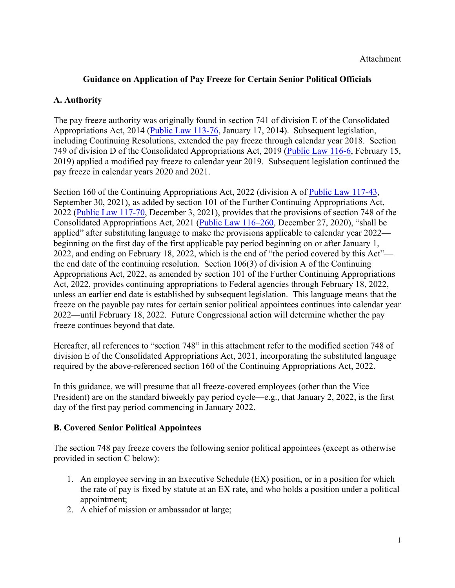### **Guidance on Application of Pay Freeze for Certain Senior Political Officials**

### **A. Authority**

The pay freeze authority was originally found in section 741 of division E of the Consolidated Appropriations Act, 2014 [\(Public Law 113-76,](https://www.congress.gov/113/plaws/publ76/PLAW-113publ76.pdf) January 17, 2014). Subsequent legislation, including Continuing Resolutions, extended the pay freeze through calendar year 2018. Section 749 of division D of the Consolidated Appropriations Act, 2019 [\(Public Law 116-6,](https://www.congress.gov/116/plaws/publ6/PLAW-116publ6.pdf) February 15, 2019) applied a modified pay freeze to calendar year 2019. Subsequent legislation continued the pay freeze in calendar years 2020 and 2021.

Section 160 of the Continuing Appropriations Act, 2022 (division A of [Public Law 117-43,](https://www.congress.gov/117/plaws/publ43/PLAW-117publ43.pdf)  September 30, 2021), as added by section 101 of the Further Continuing Appropriations Act, 2022 [\(Public Law 117-70,](https://www.congress.gov/117/plaws/publ70/PLAW-117publ70.pdf) December 3, 2021), provides that the provisions of section 748 of the Consolidated Appropriations Act, 2021 [\(Public Law 116–260,](https://www.congress.gov/116/plaws/publ260/PLAW-116publ260.pdf) December 27, 2020), "shall be applied" after substituting language to make the provisions applicable to calendar year 2022 beginning on the first day of the first applicable pay period beginning on or after January 1, 2022, and ending on February 18, 2022, which is the end of "the period covered by this Act" the end date of the continuing resolution. Section 106(3) of division A of the Continuing Appropriations Act, 2022, as amended by section 101 of the Further Continuing Appropriations Act, 2022, provides continuing appropriations to Federal agencies through February 18, 2022, unless an earlier end date is established by subsequent legislation. This language means that the freeze on the payable pay rates for certain senior political appointees continues into calendar year 2022—until February 18, 2022. Future Congressional action will determine whether the pay freeze continues beyond that date.

Hereafter, all references to "section 748" in this attachment refer to the modified section 748 of division E of the Consolidated Appropriations Act, 2021, incorporating the substituted language required by the above-referenced section 160 of the Continuing Appropriations Act, 2022.

In this guidance, we will presume that all freeze-covered employees (other than the Vice President) are on the standard biweekly pay period cycle—e.g., that January 2, 2022, is the first day of the first pay period commencing in January 2022.

#### **B. Covered Senior Political Appointees**

The section 748 pay freeze covers the following senior political appointees (except as otherwise provided in section C below):

- 1. An employee serving in an Executive Schedule (EX) position, or in a position for which the rate of pay is fixed by statute at an EX rate, and who holds a position under a political appointment;
- 2. A chief of mission or ambassador at large;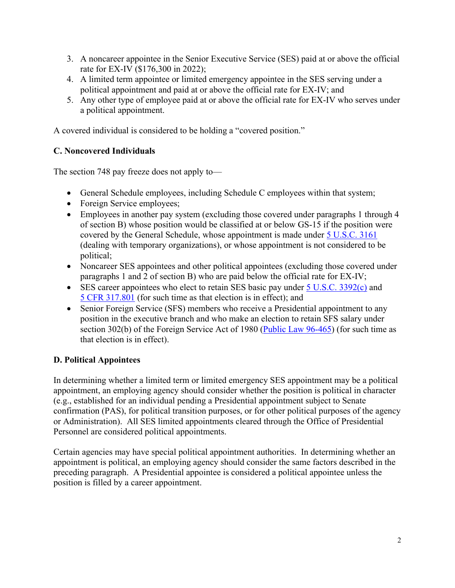- 3. A noncareer appointee in the Senior Executive Service (SES) paid at or above the official rate for EX-IV (\$176,300 in 2022);
- 4. A limited term appointee or limited emergency appointee in the SES serving under a political appointment and paid at or above the official rate for EX-IV; and
- 5. Any other type of employee paid at or above the official rate for EX-IV who serves under a political appointment.

A covered individual is considered to be holding a "covered position."

### **C. Noncovered Individuals**

The section 748 pay freeze does not apply to—

- General Schedule employees, including Schedule C employees within that system;
- Foreign Service employees;
- Employees in another pay system (excluding those covered under paragraphs 1 through 4 of section B) whose position would be classified at or below GS-15 if the position were covered by the General Schedule, whose appointment is made under [5 U.S.C. 3161](https://uscode.house.gov/view.xhtml?req=(title:5%20section:3161%20edition:prelim)%20OR%20(granuleid:USC-prelim-title5-section3161)&f=treesort&edition=prelim&num=0&jumpTo=true) (dealing with temporary organizations), or whose appointment is not considered to be political;
- Noncareer SES appointees and other political appointees (excluding those covered under paragraphs 1 and 2 of section B) who are paid below the official rate for EX-IV;
- SES career appointees who elect to retain SES basic pay under [5 U.S.C. 3392\(c\)](https://uscode.house.gov/view.xhtml?req=(title:5%20section:3392%20edition:prelim)%20OR%20(granuleid:USC-prelim-title5-section3392)&f=treesort&edition=prelim&num=0&jumpTo=true) and 5 [CFR 317.801](https://www.ecfr.gov/cgi-bin/text-idx?SID=39790d84ebf8b97e1e0d3401f56fc8f3&mc=true&node=pt5.1.317&rgn=div5#se5.1.317_1801) (for such time as that election is in effect); and
- Senior Foreign Service (SFS) members who receive a Presidential appointment to any position in the executive branch and who make an election to retain SFS salary under section 302(b) of the Foreign Service Act of 1980 [\(Public Law 96-465\)](https://uscode.house.gov/statutes/pl/96/465.pdf) (for such time as that election is in effect).

#### **D. Political Appointees**

In determining whether a limited term or limited emergency SES appointment may be a political appointment, an employing agency should consider whether the position is political in character (e.g., established for an individual pending a Presidential appointment subject to Senate confirmation (PAS), for political transition purposes, or for other political purposes of the agency or Administration). All SES limited appointments cleared through the Office of Presidential Personnel are considered political appointments.

Certain agencies may have special political appointment authorities. In determining whether an appointment is political, an employing agency should consider the same factors described in the preceding paragraph. A Presidential appointee is considered a political appointee unless the position is filled by a career appointment.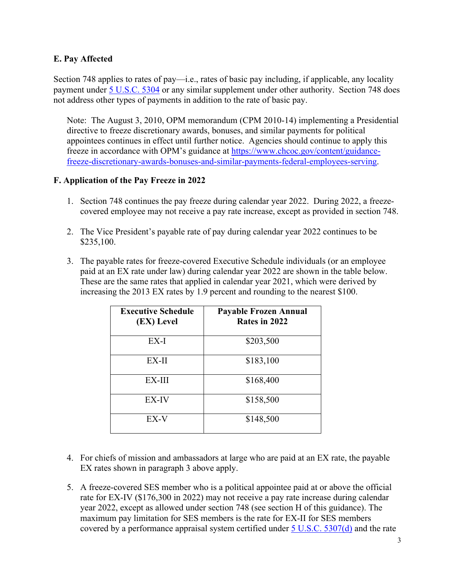#### **E. Pay Affected**

Section 748 applies to rates of pay—i.e., rates of basic pay including, if applicable, any locality payment under [5 U.S.C. 5304](https://uscode.house.gov/view.xhtml?req=(title:5%20section:5304%20edition:prelim)%20OR%20(granuleid:USC-prelim-title5-section5304)&f=treesort&edition=prelim&num=0&jumpTo=true) or any similar supplement under other authority. Section 748 does not address other types of payments in addition to the rate of basic pay.

Note: The August 3, 2010, OPM memorandum (CPM 2010-14) implementing a Presidential directive to freeze discretionary awards, bonuses, and similar payments for political appointees continues in effect until further notice. Agencies should continue to apply this freeze in accordance with OPM's guidance at [https://www.chcoc.gov/content/guidance](https://www.chcoc.gov/content/guidance-freeze-discretionary-awards-bonuses-and-similar-payments-federal-employees-serving)[freeze-discretionary-awards-bonuses-and-similar-payments-federal-employees-serving.](https://www.chcoc.gov/content/guidance-freeze-discretionary-awards-bonuses-and-similar-payments-federal-employees-serving)

#### **F. Application of the Pay Freeze in 2022**

- 1. Section 748 continues the pay freeze during calendar year 2022. During 2022, a freezecovered employee may not receive a pay rate increase, except as provided in section 748.
- 2. The Vice President's payable rate of pay during calendar year 2022 continues to be \$235,100.
- 3. The payable rates for freeze-covered Executive Schedule individuals (or an employee paid at an EX rate under law) during calendar year 2022 are shown in the table below. These are the same rates that applied in calendar year 2021, which were derived by increasing the 2013 EX rates by 1.9 percent and rounding to the nearest \$100.

| <b>Executive Schedule</b><br>(EX) Level | Payable Frozen Annual<br>Rates in 2022 |
|-----------------------------------------|----------------------------------------|
| EX-I                                    | \$203,500                              |
| EX-II                                   | \$183,100                              |
| EX-III                                  | \$168,400                              |
| EX-IV                                   | \$158,500                              |
| EX-V                                    | \$148,500                              |

- 4. For chiefs of mission and ambassadors at large who are paid at an EX rate, the payable EX rates shown in paragraph 3 above apply.
- 5. A freeze-covered SES member who is a political appointee paid at or above the official rate for EX-IV (\$176,300 in 2022) may not receive a pay rate increase during calendar year 2022, except as allowed under section 748 (see section H of this guidance). The maximum pay limitation for SES members is the rate for EX-II for SES members covered by a performance appraisal system certified under  $5$  U.S.C.  $5307(d)$  and the rate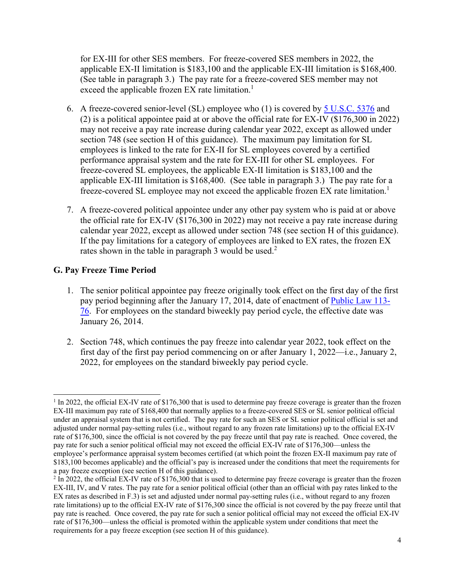for EX-III for other SES members. For freeze-covered SES members in 2022, the applicable EX-II limitation is \$183,100 and the applicable EX-III limitation is \$168,400. (See table in paragraph 3.) The pay rate for a freeze-covered SES member may not exceed the applicable frozen EX rate limitation.<sup>1</sup>

- 6. A freeze-covered senior-level (SL) employee who (1) is covered by [5 U.S.C. 5376](https://uscode.house.gov/view.xhtml?req=(title:5%20section:5376%20edition:prelim)%20OR%20(granuleid:USC-prelim-title5-section5376)&f=treesort&edition=prelim&num=0&jumpTo=true) and (2) is a political appointee paid at or above the official rate for EX-IV (\$176,300 in 2022) may not receive a pay rate increase during calendar year 2022, except as allowed under section 748 (see section H of this guidance). The maximum pay limitation for SL employees is linked to the rate for EX-II for SL employees covered by a certified performance appraisal system and the rate for EX-III for other SL employees. For freeze-covered SL employees, the applicable EX-II limitation is \$183,100 and the applicable EX-III limitation is \$168,400. (See table in paragraph 3.) The pay rate for a freeze-covered SL employee may not exceed the applicable frozen EX rate limitation.<sup>1</sup>
- 7. A freeze-covered political appointee under any other pay system who is paid at or above the official rate for EX-IV (\$176,300 in 2022) may not receive a pay rate increase during calendar year 2022, except as allowed under section 748 (see section H of this guidance). If the pay limitations for a category of employees are linked to EX rates, the frozen EX rates shown in the table in paragraph 3 would be used.<sup>2</sup>

#### **G. Pay Freeze Time Period**

- 1. The senior political appointee pay freeze originally took effect on the first day of the first pay period beginning after the January 17, 2014, date of enactment of [Public Law 113-](https://www.congress.gov/113/plaws/publ76/PLAW-113publ76.pdf) [76.](https://www.congress.gov/113/plaws/publ76/PLAW-113publ76.pdf) For employees on the standard biweekly pay period cycle, the effective date was January 26, 2014.
- 2. Section 748, which continues the pay freeze into calendar year 2022, took effect on the first day of the first pay period commencing on or after January 1, 2022—i.e., January 2, 2022, for employees on the standard biweekly pay period cycle.

<sup>&</sup>lt;sup>1</sup> In 2022, the official EX-IV rate of \$176,300 that is used to determine pay freeze coverage is greater than the frozen EX-III maximum pay rate of \$168,400 that normally applies to a freeze-covered SES or SL senior political official under an appraisal system that is not certified. The pay rate for such an SES or SL senior political official is set and adjusted under normal pay-setting rules (i.e., without regard to any frozen rate limitations) up to the official EX-IV rate of \$176,300, since the official is not covered by the pay freeze until that pay rate is reached. Once covered, the pay rate for such a senior political official may not exceed the official EX-IV rate of \$176,300—unless the employee's performance appraisal system becomes certified (at which point the frozen EX-II maximum pay rate of \$183,100 becomes applicable) and the official's pay is increased under the conditions that meet the requirements for a pay freeze exception (see section H of this guidance).

 $2 \text{ In } 2022$ , the official EX-IV rate of \$176,300 that is used to determine pay freeze coverage is greater than the frozen EX-III, IV, and V rates. The pay rate for a senior political official (other than an official with pay rates linked to the EX rates as described in F.3) is set and adjusted under normal pay-setting rules (i.e., without regard to any frozen rate limitations) up to the official EX-IV rate of \$176,300 since the official is not covered by the pay freeze until that pay rate is reached. Once covered, the pay rate for such a senior political official may not exceed the official EX-IV rate of \$176,300—unless the official is promoted within the applicable system under conditions that meet the requirements for a pay freeze exception (see section H of this guidance).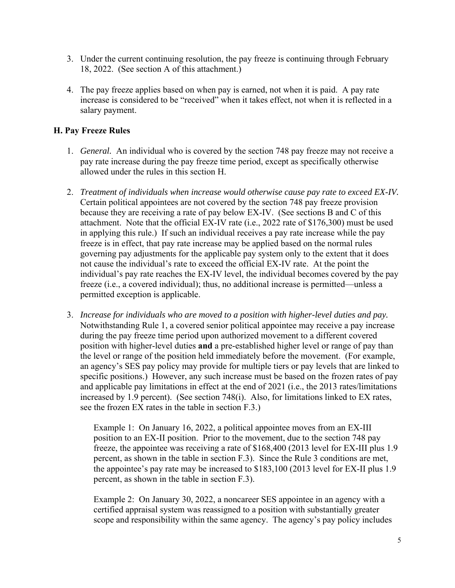- 3. Under the current continuing resolution, the pay freeze is continuing through February 18, 2022. (See section A of this attachment.)
- 4. The pay freeze applies based on when pay is earned, not when it is paid. A pay rate increase is considered to be "received" when it takes effect, not when it is reflected in a salary payment.

### **H. Pay Freeze Rules**

- 1. *General.* An individual who is covered by the section 748 pay freeze may not receive a pay rate increase during the pay freeze time period, except as specifically otherwise allowed under the rules in this section H.
- 2. *Treatment of individuals when increase would otherwise cause pay rate to exceed EX-IV.*  Certain political appointees are not covered by the section 748 pay freeze provision because they are receiving a rate of pay below EX-IV. (See sections B and C of this attachment. Note that the official EX-IV rate (i.e., 2022 rate of \$176,300) must be used in applying this rule.) If such an individual receives a pay rate increase while the pay freeze is in effect, that pay rate increase may be applied based on the normal rules governing pay adjustments for the applicable pay system only to the extent that it does not cause the individual's rate to exceed the official EX-IV rate. At the point the individual's pay rate reaches the EX-IV level, the individual becomes covered by the pay freeze (i.e., a covered individual); thus, no additional increase is permitted—unless a permitted exception is applicable.
- 3. *Increase for individuals who are moved to a position with higher-level duties and pay.*  Notwithstanding Rule 1, a covered senior political appointee may receive a pay increase during the pay freeze time period upon authorized movement to a different covered position with higher-level duties **and** a pre-established higher level or range of pay than the level or range of the position held immediately before the movement. (For example, an agency's SES pay policy may provide for multiple tiers or pay levels that are linked to specific positions.) However, any such increase must be based on the frozen rates of pay and applicable pay limitations in effect at the end of 2021 (i.e., the 2013 rates/limitations increased by 1.9 percent). (See section 748(i). Also, for limitations linked to EX rates, see the frozen EX rates in the table in section F.3.)

Example 1: On January 16, 2022, a political appointee moves from an EX-III position to an EX-II position. Prior to the movement, due to the section 748 pay freeze, the appointee was receiving a rate of \$168,400 (2013 level for EX-III plus 1.9 percent, as shown in the table in section F.3). Since the Rule 3 conditions are met, the appointee's pay rate may be increased to \$183,100 (2013 level for EX-II plus 1.9 percent, as shown in the table in section F.3).

Example 2: On January 30, 2022, a noncareer SES appointee in an agency with a certified appraisal system was reassigned to a position with substantially greater scope and responsibility within the same agency. The agency's pay policy includes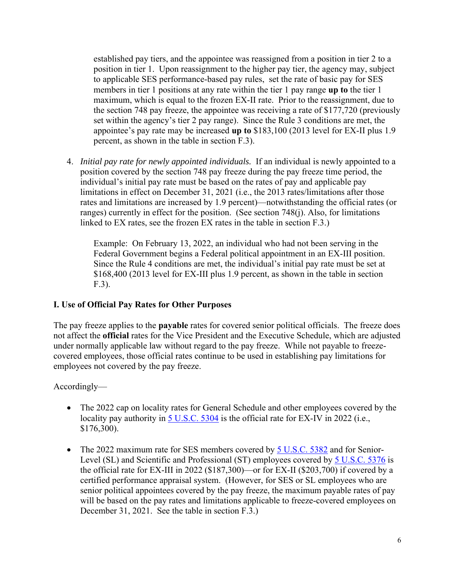established pay tiers, and the appointee was reassigned from a position in tier 2 to a position in tier 1. Upon reassignment to the higher pay tier, the agency may, subject to applicable SES performance-based pay rules, set the rate of basic pay for SES members in tier 1 positions at any rate within the tier 1 pay range **up to** the tier 1 maximum, which is equal to the frozen EX-II rate. Prior to the reassignment, due to the section 748 pay freeze, the appointee was receiving a rate of \$177,720 (previously set within the agency's tier 2 pay range). Since the Rule 3 conditions are met, the appointee's pay rate may be increased **up to** \$183,100 (2013 level for EX-II plus 1.9 percent, as shown in the table in section F.3).

4. *Initial pay rate for newly appointed individuals.* If an individual is newly appointed to a position covered by the section 748 pay freeze during the pay freeze time period, the individual's initial pay rate must be based on the rates of pay and applicable pay limitations in effect on December 31, 2021 (i.e., the 2013 rates/limitations after those rates and limitations are increased by 1.9 percent)—notwithstanding the official rates (or ranges) currently in effect for the position. (See section 748(j). Also, for limitations linked to EX rates, see the frozen EX rates in the table in section F.3.)

Example: On February 13, 2022, an individual who had not been serving in the Federal Government begins a Federal political appointment in an EX-III position. Since the Rule 4 conditions are met, the individual's initial pay rate must be set at \$168,400 (2013 level for EX-III plus 1.9 percent, as shown in the table in section F.3).

#### **I. Use of Official Pay Rates for Other Purposes**

The pay freeze applies to the **payable** rates for covered senior political officials. The freeze does not affect the **official** rates for the Vice President and the Executive Schedule, which are adjusted under normally applicable law without regard to the pay freeze. While not payable to freezecovered employees, those official rates continue to be used in establishing pay limitations for employees not covered by the pay freeze.

## Accordingly—

- The 2022 cap on locality rates for General Schedule and other employees covered by the locality pay authority in [5 U.S.C. 5304](https://uscode.house.gov/view.xhtml?req=(title:5%20section:5304%20edition:prelim)%20OR%20(granuleid:USC-prelim-title5-section5304)&f=treesort&edition=prelim&num=0&jumpTo=true) is the official rate for EX-IV in 2022 (i.e., \$176,300).
- The 2022 maximum rate for SES members covered by [5 U.S.C. 5382](https://uscode.house.gov/view.xhtml?req=(title:5%20section:5382%20edition:prelim)%20OR%20(granuleid:USC-prelim-title5-section5382)&f=treesort&edition=prelim&num=0&jumpTo=true) and for Senior-Level (SL) and Scientific and Professional (ST) employees covered by [5 U.S.C. 5376](https://uscode.house.gov/view.xhtml?req=(title:5%20section:5376%20edition:prelim)%20OR%20(granuleid:USC-prelim-title5-section5376)&f=treesort&edition=prelim&num=0&jumpTo=true) is the official rate for EX-III in 2022 (\$187,300)—or for EX-II (\$203,700) if covered by a certified performance appraisal system. (However, for SES or SL employees who are senior political appointees covered by the pay freeze, the maximum payable rates of pay will be based on the pay rates and limitations applicable to freeze-covered employees on December 31, 2021. See the table in section F.3.)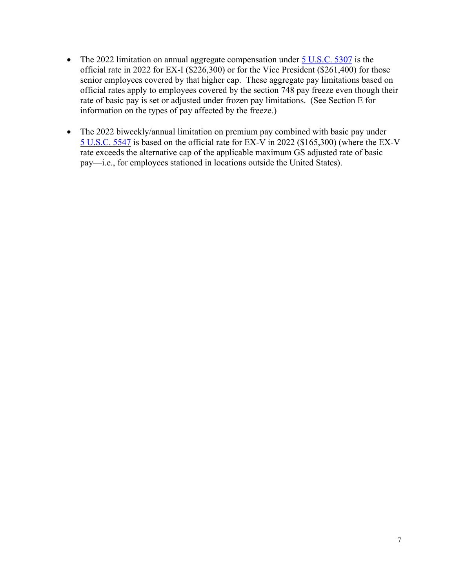- The 2022 limitation on annual aggregate compensation under  $5 \text{ U.S.C. } 5307$  is the official rate in 2022 for EX-I (\$226,300) or for the Vice President (\$261,400) for those senior employees covered by that higher cap. These aggregate pay limitations based on official rates apply to employees covered by the section 748 pay freeze even though their rate of basic pay is set or adjusted under frozen pay limitations. (See Section E for information on the types of pay affected by the freeze.)
- The 2022 biweekly/annual limitation on premium pay combined with basic pay under [5 U.S.C. 5547](https://uscode.house.gov/view.xhtml?req=(title:5%20section:5547%20edition:prelim)%20OR%20(granuleid:USC-prelim-title5-section5547)&f=treesort&edition=prelim&num=0&jumpTo=true) is based on the official rate for EX-V in 2022 (\$165,300) (where the EX-V rate exceeds the alternative cap of the applicable maximum GS adjusted rate of basic pay—i.e., for employees stationed in locations outside the United States).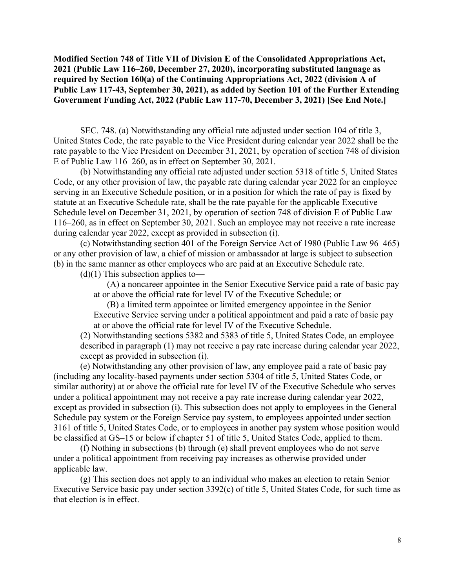**Modified Section 748 of Title VII of Division E of the Consolidated Appropriations Act, 2021 (Public Law 116–260, December 27, 2020), incorporating substituted language as required by Section 160(a) of the Continuing Appropriations Act, 2022 (division A of Public Law 117-43, September 30, 2021), as added by Section 101 of the Further Extending Government Funding Act, 2022 (Public Law 117-70, December 3, 2021) [See End Note.]** 

SEC. 748. (a) Notwithstanding any official rate adjusted under section 104 of title 3, United States Code, the rate payable to the Vice President during calendar year 2022 shall be the rate payable to the Vice President on December 31, 2021, by operation of section 748 of division E of Public Law 116–260, as in effect on September 30, 2021.

(b) Notwithstanding any official rate adjusted under section 5318 of title 5, United States Code, or any other provision of law, the payable rate during calendar year 2022 for an employee serving in an Executive Schedule position, or in a position for which the rate of pay is fixed by statute at an Executive Schedule rate, shall be the rate payable for the applicable Executive Schedule level on December 31, 2021, by operation of section 748 of division E of Public Law 116–260, as in effect on September 30, 2021. Such an employee may not receive a rate increase during calendar year 2022, except as provided in subsection (i).

(c) Notwithstanding section 401 of the Foreign Service Act of 1980 (Public Law 96–465) or any other provision of law, a chief of mission or ambassador at large is subject to subsection (b) in the same manner as other employees who are paid at an Executive Schedule rate.

 $(d)(1)$  This subsection applies to-

(A) a noncareer appointee in the Senior Executive Service paid a rate of basic pay at or above the official rate for level IV of the Executive Schedule; or

(B) a limited term appointee or limited emergency appointee in the Senior Executive Service serving under a political appointment and paid a rate of basic pay at or above the official rate for level IV of the Executive Schedule.

(2) Notwithstanding sections 5382 and 5383 of title 5, United States Code, an employee described in paragraph (1) may not receive a pay rate increase during calendar year 2022, except as provided in subsection (i).

(e) Notwithstanding any other provision of law, any employee paid a rate of basic pay (including any locality-based payments under section 5304 of title 5, United States Code, or similar authority) at or above the official rate for level IV of the Executive Schedule who serves under a political appointment may not receive a pay rate increase during calendar year 2022, except as provided in subsection (i). This subsection does not apply to employees in the General Schedule pay system or the Foreign Service pay system, to employees appointed under section 3161 of title 5, United States Code, or to employees in another pay system whose position would be classified at GS–15 or below if chapter 51 of title 5, United States Code, applied to them.

(f) Nothing in subsections (b) through (e) shall prevent employees who do not serve under a political appointment from receiving pay increases as otherwise provided under applicable law.

(g) This section does not apply to an individual who makes an election to retain Senior Executive Service basic pay under section 3392(c) of title 5, United States Code, for such time as that election is in effect.